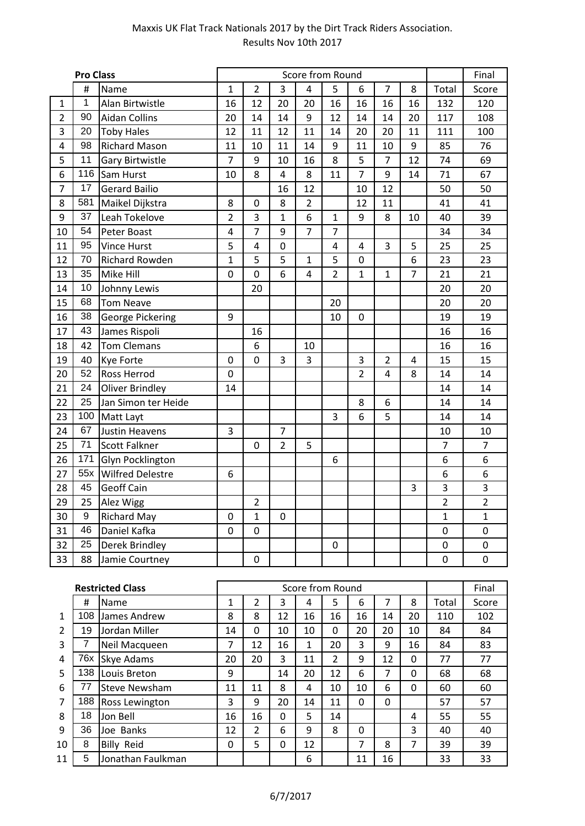|                | <b>Pro Class</b> |                         |                         |                |                         | Score from Round |                |                |                |                |                | Final          |
|----------------|------------------|-------------------------|-------------------------|----------------|-------------------------|------------------|----------------|----------------|----------------|----------------|----------------|----------------|
|                | #                | Name                    | $\mathbf{1}$            | $\overline{2}$ | 3                       | 4                | 5              | 6              | $\overline{7}$ | 8              | Total          | Score          |
| $\mathbf{1}$   | 1                | Alan Birtwistle         | 16                      | 12             | 20                      | 20               | 16             | 16             | 16             | 16             | 132            | 120            |
| $\overline{2}$ | 90               | <b>Aidan Collins</b>    | 20                      | 14             | 14                      | 9                | 12             | 14             | 14             | 20             | 117            | 108            |
| 3              | 20               | <b>Toby Hales</b>       | 12                      | 11             | 12                      | 11               | 14             | 20             | 20             | 11             | 111            | 100            |
| 4              | 98               | <b>Richard Mason</b>    | 11                      | 10             | 11                      | 14               | 9              | 11             | 10             | 9              | 85             | 76             |
| 5              | 11               | <b>Gary Birtwistle</b>  | $\overline{7}$          | 9              | 10                      | 16               | 8              | 5              | $\overline{7}$ | 12             | 74             | 69             |
| 6              |                  | 116 Sam Hurst           | 10                      | 8              | $\overline{\mathbf{4}}$ | 8                | 11             | $\overline{7}$ | 9              | 14             | 71             | 67             |
| $\overline{7}$ | 17               | <b>Gerard Bailio</b>    |                         |                | 16                      | 12               |                | 10             | 12             |                | 50             | 50             |
| 8              | 581              | Maikel Dijkstra         | 8                       | 0              | 8                       | $\overline{2}$   |                | 12             | 11             |                | 41             | 41             |
| 9              | 37               | Leah Tokelove           | $\overline{2}$          | 3              | $\mathbf{1}$            | 6                | $\mathbf{1}$   | 9              | 8              | 10             | 40             | 39             |
| 10             | 54               | Peter Boast             | $\overline{\mathbf{4}}$ | $\overline{7}$ | 9                       | $\overline{7}$   | $\overline{7}$ |                |                |                | 34             | 34             |
| 11             | 95               | <b>Vince Hurst</b>      | 5                       | 4              | 0                       |                  | $\overline{4}$ | 4              | 3              | 5              | 25             | 25             |
| 12             | 70               | Richard Rowden          | $\mathbf{1}$            | 5              | 5                       | $\mathbf{1}$     | 5              | 0              |                | 6              | 23             | 23             |
| 13             | 35               | Mike Hill               | 0                       | 0              | 6                       | $\overline{4}$   | $\overline{2}$ | 1              | $\mathbf 1$    | $\overline{7}$ | 21             | 21             |
| 14             | 10               | Johnny Lewis            |                         | 20             |                         |                  |                |                |                |                | 20             | 20             |
| 15             | 68               | <b>Tom Neave</b>        |                         |                |                         |                  | 20             |                |                |                | 20             | 20             |
| 16             | 38               | <b>George Pickering</b> | 9                       |                |                         |                  | 10             | 0              |                |                | 19             | 19             |
| 17             | 43               | James Rispoli           |                         | 16             |                         |                  |                |                |                |                | 16             | 16             |
| 18             | 42               | <b>Tom Clemans</b>      |                         | 6              |                         | 10               |                |                |                |                | 16             | 16             |
| 19             | 40               | Kye Forte               | 0                       | 0              | 3                       | 3                |                | 3              | $\overline{2}$ | 4              | 15             | 15             |
| 20             | 52               | Ross Herrod             | 0                       |                |                         |                  |                | $\overline{2}$ | 4              | 8              | 14             | 14             |
| 21             | 24               | <b>Oliver Brindley</b>  | 14                      |                |                         |                  |                |                |                |                | 14             | 14             |
| 22             | 25               | Jan Simon ter Heide     |                         |                |                         |                  |                | 8              | 6              |                | 14             | 14             |
| 23             | 100              | Matt Layt               |                         |                |                         |                  | 3              | 6              | 5              |                | 14             | 14             |
| 24             | 67               | Justin Heavens          | 3                       |                | $\overline{7}$          |                  |                |                |                |                | 10             | 10             |
| 25             | 71               | <b>Scott Falkner</b>    |                         | 0              | $\overline{2}$          | 5                |                |                |                |                | $\overline{7}$ | $\overline{7}$ |
| 26             | 171              | Glyn Pocklington        |                         |                |                         |                  | 6              |                |                |                | 6              | $\overline{6}$ |
| 27             | 55x              | <b>Wilfred Delestre</b> | 6                       |                |                         |                  |                |                |                |                | 6              | 6              |
| 28             | 45               | <b>Geoff Cain</b>       |                         |                |                         |                  |                |                |                | 3              | 3              | 3              |
| 29             | 25               | Alez Wigg               |                         | $\overline{2}$ |                         |                  |                |                |                |                | $\overline{2}$ | $\overline{2}$ |
| 30             | 9                | <b>Richard May</b>      | $\mathbf 0$             | $\mathbf{1}$   | 0                       |                  |                |                |                |                | $\mathbf 1$    | $\mathbf{1}$   |
| 31             | 46               | Daniel Kafka            | 0                       | 0              |                         |                  |                |                |                |                | 0              | 0              |
| 32             | 25               | Derek Brindley          |                         |                |                         |                  | 0              |                |                |                | 0              | 0              |
| 33             | 88               | Jamie Courtney          |                         | 0              |                         |                  |                |                |                |                | $\mathbf 0$    | 0              |

|                |     | <b>Restricted Class</b> |    |    |          | Score from Round |    |    |          |          |       | Final |
|----------------|-----|-------------------------|----|----|----------|------------------|----|----|----------|----------|-------|-------|
|                | #   | Name                    |    | 2  | 3        | 4                | 5  | 6  |          | 8        | Total | Score |
| 1              | 108 | James Andrew            | 8  | 8  | 12       | 16               | 16 | 16 | 14       | 20       | 110   | 102   |
| $\mathfrak{p}$ | 19  | Jordan Miller           | 14 | 0  | 10       | 10               | 0  | 20 | 20       | 10       | 84    | 84    |
| 3              |     | Neil Macqueen           | 7  | 12 | 16       | 1                | 20 | 3  | 9        | 16       | 84    | 83    |
| 4              | 76x | Skye Adams              | 20 | 20 | 3        | 11               | 2  | 9  | 12       | 0        | 77    | 77    |
| 5              | 138 | Louis Breton            | 9  |    | 14       | 20               | 12 | 6  | 7        | 0        | 68    | 68    |
| 6              | 77  | <b>Steve Newsham</b>    | 11 | 11 | 8        | 4                | 10 | 10 | 6        | $\Omega$ | 60    | 60    |
| 7              | 188 | Ross Lewington          | 3  | 9  | 20       | 14               | 11 | 0  | $\Omega$ |          | 57    | 57    |
| 8              | 18  | Jon Bell                | 16 | 16 | $\Omega$ | 5                | 14 |    |          | 4        | 55    | 55    |
| 9              | 36  | Joe Banks               | 12 | 2  | 6        | 9                | 8  | 0  |          | 3        | 40    | 40    |
| 10             | 8   | <b>Billy Reid</b>       | 0  | 5  | 0        | 12               |    | 7  | 8        | 7        | 39    | 39    |
| 11             | 5   | Jonathan Faulkman       |    |    |          | 6                |    | 11 | 16       |          | 33    | 33    |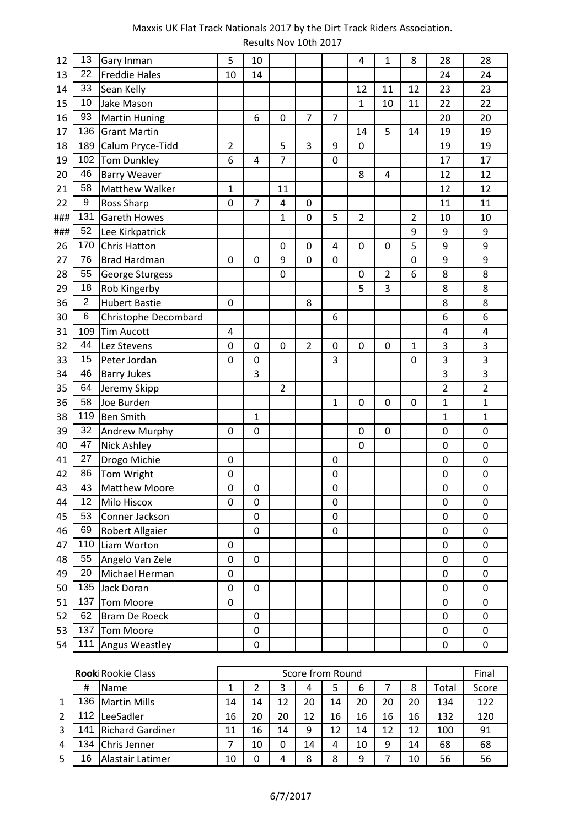| 12  | 13              | Gary Inman            | 5              | 10             |                |                |                | $\overline{4}$ | $\mathbf 1$    | 8              | 28               | 28             |
|-----|-----------------|-----------------------|----------------|----------------|----------------|----------------|----------------|----------------|----------------|----------------|------------------|----------------|
| 13  | 22              | <b>Freddie Hales</b>  | 10             | 14             |                |                |                |                |                |                | 24               | 24             |
| 14  | 33              | Sean Kelly            |                |                |                |                |                | 12             | 11             | 12             | 23               | 23             |
| 15  | 10              | Jake Mason            |                |                |                |                |                | $\mathbf{1}$   | 10             | 11             | 22               | 22             |
| 16  | 93              | <b>Martin Huning</b>  |                | 6              | 0              | 7              | 7              |                |                |                | 20               | 20             |
| 17  | 136             | <b>Grant Martin</b>   |                |                |                |                |                | 14             | 5              | 14             | 19               | 19             |
| 18  | 189             | Calum Pryce-Tidd      | $\overline{2}$ |                | 5              | 3              | 9              | $\pmb{0}$      |                |                | 19               | 19             |
| 19  | 102             | <b>Tom Dunkley</b>    | 6              | 4              | $\overline{7}$ |                | 0              |                |                |                | 17               | 17             |
| 20  | 46              | <b>Barry Weaver</b>   |                |                |                |                |                | 8              | 4              |                | 12               | 12             |
| 21  | 58              | <b>Matthew Walker</b> | 1              |                | 11             |                |                |                |                |                | 12               | 12             |
| 22  | 9               | <b>Ross Sharp</b>     | 0              | $\overline{7}$ | 4              | 0              |                |                |                |                | 11               | 11             |
| ### | 131             | <b>Gareth Howes</b>   |                |                | $\mathbf{1}$   | 0              | 5              | $\overline{2}$ |                | $\overline{2}$ | 10               | 10             |
| ### | 52              | Lee Kirkpatrick       |                |                |                |                |                |                |                | 9              | 9                | 9              |
| 26  | 170             | <b>Chris Hatton</b>   |                |                | $\mathbf 0$    | 0              | $\overline{4}$ | $\mathbf 0$    | 0              | 5              | 9                | 9              |
| 27  | 76              | <b>Brad Hardman</b>   | 0              | $\mathbf 0$    | 9              | 0              | 0              |                |                | 0              | 9                | 9              |
| 28  | 55              | George Sturgess       |                |                | $\mathbf 0$    |                |                | 0              | $\overline{2}$ | 6              | 8                | 8              |
| 29  | 18              | Rob Kingerby          |                |                |                |                |                | 5              | 3              |                | 8                | 8              |
| 36  | $\overline{2}$  | <b>Hubert Bastie</b>  | 0              |                |                | 8              |                |                |                |                | 8                | 8              |
| 30  | 6               | Christophe Decombard  |                |                |                |                | 6              |                |                |                | 6                | 6              |
| 31  | 109             | <b>Tim Aucott</b>     | 4              |                |                |                |                |                |                |                | 4                | 4              |
| 32  | 44              | Lez Stevens           | 0              | $\mathbf 0$    | 0              | $\overline{2}$ | 0              | 0              | 0              | $\mathbf{1}$   | 3                | 3              |
| 33  | 15              | Peter Jordan          | 0              | $\mathbf 0$    |                |                | 3              |                |                | 0              | 3                | 3              |
| 34  | 46              | <b>Barry Jukes</b>    |                | 3              |                |                |                |                |                |                | 3                | 3              |
| 35  | 64              | Jeremy Skipp          |                |                | $\overline{2}$ |                |                |                |                |                | 2                | $\overline{2}$ |
| 36  | 58              | Joe Burden            |                |                |                |                | $\mathbf{1}$   | $\mathbf 0$    | 0              | 0              | $\mathbf 1$      | $\mathbf{1}$   |
| 38  | 119             | <b>Ben Smith</b>      |                | 1              |                |                |                |                |                |                | $\mathbf 1$      | $\mathbf{1}$   |
| 39  | 32              | Andrew Murphy         | 0              | $\mathbf 0$    |                |                |                | $\pmb{0}$      | 0              |                | 0                | 0              |
| 40  | 47              | <b>Nick Ashley</b>    |                |                |                |                |                | 0              |                |                | 0                | 0              |
| 41  | 27              | Drogo Michie          | 0              |                |                |                | 0              |                |                |                | 0                | 0              |
| 42  | 86              | Tom Wright            | 0              |                |                |                | $\mathbf 0$    |                |                |                | 0                | 0              |
| 43  | 43              | Matthew Moore         | 0              | $\mathbf 0$    |                |                | $\mathbf 0$    |                |                |                | $\mathbf 0$      | 0              |
| 44  | 12 <sub>2</sub> | Milo Hiscox           | 0              | $\mathbf 0$    |                |                | 0              |                |                |                | $\mathbf 0$      | 0              |
| 45  | 53              | Conner Jackson        |                | $\mathbf 0$    |                |                | $\pmb{0}$      |                |                |                | $\boldsymbol{0}$ | 0              |
| 46  | 69              | Robert Allgaier       |                | 0              |                |                | 0              |                |                |                | $\boldsymbol{0}$ | 0              |
| 47  |                 | 110 Liam Worton       | 0              |                |                |                |                |                |                |                | 0                | 0              |
| 48  | 55              | Angelo Van Zele       | 0              | 0              |                |                |                |                |                |                | $\mathbf 0$      | 0              |
| 49  | 20              | Michael Herman        | 0              |                |                |                |                |                |                |                | 0                | 0              |
| 50  |                 | 135 Jack Doran        | 0              | 0              |                |                |                |                |                |                | $\boldsymbol{0}$ | 0              |
| 51  |                 | 137 Tom Moore         | 0              |                |                |                |                |                |                |                | $\mathbf 0$      | 0              |
| 52  | 62              | <b>Bram De Roeck</b>  |                | 0              |                |                |                |                |                |                | $\mathbf 0$      | 0              |
| 53  |                 | 137 Tom Moore         |                | 0              |                |                |                |                |                |                | $\pmb{0}$        | 0              |
| 54  |                 | 111 Angus Weastley    |                | $\pmb{0}$      |                |                |                |                |                |                | $\mathbf 0$      | 0              |

|   |     | <b>Rooki Rookie Class</b> |    |    |    |    | Score from Round |    |    |    |       | Final |
|---|-----|---------------------------|----|----|----|----|------------------|----|----|----|-------|-------|
|   | #   | Name                      |    |    | 3  | 4  | 5                | 6  |    | 8  | Total | Score |
| 1 | 136 | Martin Mills              | 14 | 14 | 12 | 20 | 14               | 20 | 20 | 20 | 134   | 122   |
|   | 12  | LeeSadler                 | 16 | 20 | 20 | 12 | 16               | 16 | 16 | 16 | 132   | 120   |
| 3 | 141 | <b>Richard Gardiner</b>   | 11 | 16 | 14 | 9  | 12               | 14 | 12 | 12 | 100   | 91    |
| 4 | 134 | IChris Jenner             |    | 10 | 0  | 14 | 4                | 10 | 9  | 14 | 68    | 68    |
|   | ۱6  | Alastair Latimer          | 10 |    | 4  | 8  | 8                | 9  |    | 10 | 56    | 56    |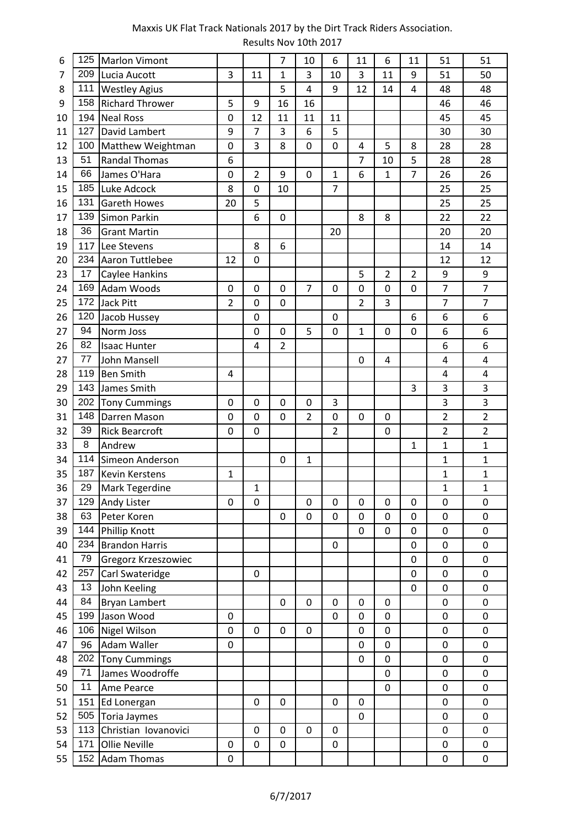| 6  | 125 | <b>Marlon Vimont</b>   |                |                | $\overline{7}$ | 10             | 6              | 11             | 6              | 11             | 51                      | 51             |
|----|-----|------------------------|----------------|----------------|----------------|----------------|----------------|----------------|----------------|----------------|-------------------------|----------------|
| 7  | 209 | Lucia Aucott           | 3              | 11             | $\mathbf{1}$   | 3              | 10             | 3              | 11             | 9              | 51                      | 50             |
| 8  | 111 | <b>Westley Agius</b>   |                |                | 5              | 4              | 9              | 12             | 14             | 4              | 48                      | 48             |
| 9  | 158 | <b>Richard Thrower</b> | 5              | 9              | 16             | 16             |                |                |                |                | 46                      | 46             |
| 10 | 194 | <b>Neal Ross</b>       | 0              | 12             | 11             | 11             | 11             |                |                |                | 45                      | 45             |
| 11 | 127 | David Lambert          | 9              | $\overline{7}$ | 3              | 6              | 5              |                |                |                | 30                      | 30             |
| 12 | 100 | Matthew Weightman      | 0              | 3              | 8              | 0              | 0              | 4              | 5              | 8              | 28                      | 28             |
| 13 | 51  | <b>Randal Thomas</b>   | 6              |                |                |                |                | 7              | 10             | 5              | 28                      | 28             |
| 14 | 66  | James O'Hara           | 0              | $\overline{2}$ | 9              | 0              | $\mathbf{1}$   | 6              | $\mathbf{1}$   | $\overline{7}$ | 26                      | 26             |
| 15 | 185 | Luke Adcock            | 8              | 0              | 10             |                | $\overline{7}$ |                |                |                | 25                      | 25             |
| 16 | 131 | <b>Gareth Howes</b>    | 20             | 5              |                |                |                |                |                |                | 25                      | 25             |
| 17 | 139 | Simon Parkin           |                | 6              | $\mathbf 0$    |                |                | 8              | 8              |                | 22                      | 22             |
| 18 | 36  | <b>Grant Martin</b>    |                |                |                |                | 20             |                |                |                | 20                      | 20             |
| 19 |     | 117 Lee Stevens        |                | 8              | 6              |                |                |                |                |                | 14                      | 14             |
| 20 | 234 | Aaron Tuttlebee        | 12             | $\overline{0}$ |                |                |                |                |                |                | 12                      | 12             |
| 23 | 17  | Caylee Hankins         |                |                |                |                |                | 5              | $\overline{2}$ | $\overline{2}$ | 9                       | 9              |
| 24 | 169 | Adam Woods             | 0              | 0              | $\mathbf 0$    | $\overline{7}$ | 0              | 0              | 0              | 0              | $\overline{7}$          | $\overline{7}$ |
| 25 | 172 | Jack Pitt              | $\overline{2}$ | $\overline{0}$ | $\mathbf 0$    |                |                | $\overline{2}$ | 3              |                | $\overline{7}$          | $\overline{7}$ |
| 26 | 120 | Jacob Hussey           |                | 0              |                |                | 0              |                |                | 6              | 6                       | 6              |
| 27 | 94  | Norm Joss              |                | 0              | 0              | 5              | 0              | $\mathbf{1}$   | 0              | 0              | 6                       | 6              |
| 26 | 82  | <b>Isaac Hunter</b>    |                | 4              | $\overline{2}$ |                |                |                |                |                | 6                       | 6              |
| 27 | 77  | John Mansell           |                |                |                |                |                | 0              | 4              |                | 4                       | 4              |
| 28 | 119 | <b>Ben Smith</b>       | 4              |                |                |                |                |                |                |                | $\overline{\mathbf{4}}$ | 4              |
| 29 | 143 | James Smith            |                |                |                |                |                |                |                | 3              | 3                       | 3              |
| 30 | 202 | <b>Tony Cummings</b>   | 0              | 0              | $\mathbf 0$    | $\mathbf 0$    | 3              |                |                |                | 3                       | 3              |
| 31 | 148 | Darren Mason           | 0              | 0              | 0              | 2              | 0              | 0              | 0              |                | $\overline{2}$          | $\overline{2}$ |
| 32 | 39  | <b>Rick Bearcroft</b>  | $\mathbf{0}$   | 0              |                |                | $\overline{2}$ |                | 0              |                | $\overline{2}$          | $\overline{2}$ |
| 33 | 8   | Andrew                 |                |                |                |                |                |                |                | 1              | $\overline{1}$          | $\mathbf{1}$   |
| 34 | 114 | Simeon Anderson        |                |                | 0              | 1              |                |                |                |                | 1                       | $\mathbf{1}$   |
| 35 | 187 | <b>Kevin Kerstens</b>  | 1              |                |                |                |                |                |                |                | $\mathbf 1$             | 1              |
| 36 | 29  | Mark Tegerdine         |                | 1              |                |                |                |                |                |                | $\mathbf{1}$            | $\mathbf{1}$   |
| 37 | 129 | Andy Lister            | 0              | $\overline{0}$ |                | 0              | 0              | $\mathbf 0$    | 0              | 0              | $\mathbf 0$             | $\mathbf 0$    |
| 38 | 63  | Peter Koren            |                |                | 0              | 0              | 0              | 0              | 0              | 0              | 0                       | 0              |
| 39 | 144 | Phillip Knott          |                |                |                |                |                | $\overline{0}$ | $\overline{0}$ | 0              | $\overline{0}$          | 0              |
| 40 | 234 | <b>Brandon Harris</b>  |                |                |                |                | $\pmb{0}$      |                |                | 0              | $\pmb{0}$               | 0              |
| 41 | 79  | Gregorz Krzeszowiec    |                |                |                |                |                |                |                | 0              | 0                       | 0              |
| 42 | 257 | Carl Swateridge        |                | 0              |                |                |                |                |                | 0              | 0                       | 0              |
| 43 | 13  | John Keeling           |                |                |                |                |                |                |                | 0              | $\pmb{0}$               | 0              |
| 44 | 84  | <b>Bryan Lambert</b>   |                |                | 0              | $\mathbf 0$    | 0              | 0              | 0              |                | $\mathbf 0$             | 0              |
| 45 |     | 199 Jason Wood         | 0              |                |                |                | 0              | 0              | 0              |                | 0                       | 0              |
| 46 |     | 106 Nigel Wilson       | $\mathbf 0$    | $\mathbf 0$    | $\mathbf 0$    | $\mathbf 0$    |                | 0              | 0              |                | 0                       | 0              |
| 47 | 96  | <b>Adam Waller</b>     | 0              |                |                |                |                | 0              | 0              |                | $\pmb{0}$               | 0              |
| 48 |     | 202 Tony Cummings      |                |                |                |                |                | 0              | 0              |                | $\pmb{0}$               | 0              |
| 49 | 71  | James Woodroffe        |                |                |                |                |                |                | $\mathbf 0$    |                | $\mathbf 0$             | 0              |
| 50 | 11  | Ame Pearce             |                |                |                |                |                |                | 0              |                | $\pmb{0}$               | 0              |
| 51 |     | 151 Ed Lonergan        |                | 0              | 0              |                | 0              | 0              |                |                | 0                       | $\mathbf 0$    |
| 52 | 505 | Toria Jaymes           |                |                |                |                |                | $\pmb{0}$      |                |                | $\pmb{0}$               | $\pmb{0}$      |
| 53 | 113 | Christian Iovanovici   |                | $\mathbf 0$    | 0              | $\mathbf 0$    | $\mathbf 0$    |                |                |                | $\mathbf 0$             | $\pmb{0}$      |
| 54 | 171 | Ollie Neville          | $\pmb{0}$      | 0              | 0              |                | $\pmb{0}$      |                |                |                | $\pmb{0}$               | 0              |
| 55 |     | 152 Adam Thomas        | 0              |                |                |                |                |                |                |                | 0                       | 0              |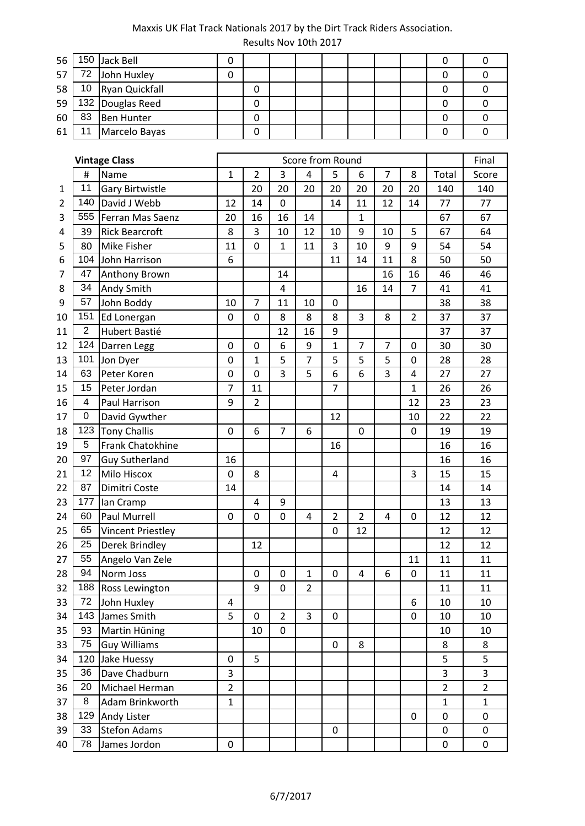| 56 |    | 150 Jack Bell     |  |  |  |  |  |
|----|----|-------------------|--|--|--|--|--|
| 57 |    | 72 John Huxley    |  |  |  |  |  |
| 58 |    | 10 Ryan Quickfall |  |  |  |  |  |
| 59 |    | 132 Douglas Reed  |  |  |  |  |  |
| 60 | 83 | Ben Hunter        |  |  |  |  |  |
| 61 |    | Marcelo Bayas     |  |  |  |  |  |

|                |                 | <b>Vintage Class</b>     |                |                |                | Score from Round |                |                |                |                |                  | Final          |
|----------------|-----------------|--------------------------|----------------|----------------|----------------|------------------|----------------|----------------|----------------|----------------|------------------|----------------|
|                | #               | Name                     | $\mathbf{1}$   | $\overline{2}$ | 3              | 4                | 5              | 6              | $\overline{7}$ | 8              | Total            | Score          |
| 1              | 11              | <b>Gary Birtwistle</b>   |                | 20             | 20             | 20               | 20             | 20             | 20             | 20             | 140              | 140            |
| $\overline{2}$ | 140             | David J Webb             | 12             | 14             | $\mathbf 0$    |                  | 14             | 11             | 12             | 14             | 77               | 77             |
| 3              | 555             | Ferran Mas Saenz         | 20             | 16             | 16             | 14               |                | $\mathbf{1}$   |                |                | 67               | 67             |
| 4              | 39              | <b>Rick Bearcroft</b>    | 8              | 3              | 10             | 12               | 10             | 9              | 10             | 5              | 67               | 64             |
| 5              | 80              | <b>Mike Fisher</b>       | 11             | $\overline{0}$ | $\mathbf{1}$   | 11               | 3              | 10             | 9              | 9              | 54               | 54             |
| 6              |                 | 104 John Harrison        | 6              |                |                |                  | 11             | 14             | 11             | 8              | 50               | 50             |
| 7              | 47              | Anthony Brown            |                |                | 14             |                  |                |                | 16             | 16             | 46               | 46             |
| 8              | 34              | <b>Andy Smith</b>        |                |                | 4              |                  |                | 16             | 14             | $\overline{7}$ | 41               | 41             |
| 9              | 57              | John Boddy               | 10             | $\overline{7}$ | 11             | 10               | $\mathbf 0$    |                |                |                | 38               | 38             |
| 10             | 151             | Ed Lonergan              | 0              | $\overline{0}$ | 8              | 8                | 8              | 3              | 8              | $\overline{2}$ | 37               | 37             |
| 11             | $\overline{2}$  | Hubert Bastié            |                |                | 12             | 16               | 9              |                |                |                | 37               | 37             |
| 12             | 124             | Darren Legg              | 0              | $\mathbf 0$    | 6              | 9                | $\mathbf{1}$   | $\overline{7}$ | 7              | 0              | 30               | 30             |
| 13             | 101             | Jon Dyer                 | 0              | $\mathbf 1$    | 5              | $\overline{7}$   | 5              | 5              | 5              | 0              | 28               | 28             |
| 14             | 63              | Peter Koren              | 0              | 0              | 3              | 5                | 6              | 6              | 3              | 4              | 27               | 27             |
| 15             | 15              | Peter Jordan             | $\overline{7}$ | 11             |                |                  | $\overline{7}$ |                |                | $\mathbf{1}$   | 26               | 26             |
| 16             | 4               | Paul Harrison            | 9              | $\overline{2}$ |                |                  |                |                |                | 12             | 23               | 23             |
| 17             | 0               | David Gywther            |                |                |                |                  | 12             |                |                | 10             | 22               | 22             |
| 18             |                 | 123 Tony Challis         | 0              | 6              | 7              | 6                |                | 0              |                | 0              | 19               | 19             |
| 19             | 5               | Frank Chatokhine         |                |                |                |                  | 16             |                |                |                | 16               | 16             |
| 20             | 97              | <b>Guy Sutherland</b>    | 16             |                |                |                  |                |                |                |                | 16               | 16             |
| 21             | 12 <sub>2</sub> | <b>Milo Hiscox</b>       | 0              | 8              |                |                  | 4              |                |                | 3              | 15               | 15             |
| 22             | 87              | Dimitri Coste            | 14             |                |                |                  |                |                |                |                | 14               | 14             |
| 23             | 177             | lan Cramp                |                | 4              | 9              |                  |                |                |                |                | 13               | 13             |
| 24             | 60              | Paul Murrell             | 0              | 0              | 0              | 4                | $\overline{2}$ | $\overline{2}$ | 4              | 0              | 12               | 12             |
| 25             | 65              | <b>Vincent Priestley</b> |                |                |                |                  | 0              | 12             |                |                | 12               | 12             |
| 26             | 25              | Derek Brindley           |                | 12             |                |                  |                |                |                |                | 12               | 12             |
| 27             | 55              | Angelo Van Zele          |                |                |                |                  |                |                |                | 11             | 11               | 11             |
| 28             | 94              | Norm Joss                |                | 0              | 0              | $\mathbf{1}$     | 0              | 4              | 6              | 0              | 11               | 11             |
| 32             | 188             | Ross Lewington           |                | 9              | $\mathbf 0$    | $\overline{2}$   |                |                |                |                | 11               | 11             |
| 33             | 72              | John Huxley              | 4              |                |                |                  |                |                |                | 6              | 10               | 10             |
| 34             |                 | 143 James Smith          | 5              | $\mathbf 0$    | $\overline{2}$ | 3                | 0              |                |                | 0              | 10               | 10             |
| 35             | 93              | Martin Hüning            |                | 10             | 0              |                  |                |                |                |                | 10               | 10             |
| 33             | 75              | <b>Guy Williams</b>      |                |                |                |                  | 0              | 8              |                |                | 8                | 8              |
| 34             |                 | 120 Jake Huessy          | 0              | 5              |                |                  |                |                |                |                | 5                | 5              |
| 35             | 36              | Dave Chadburn            | 3              |                |                |                  |                |                |                |                | 3                | 3              |
| 36             | 20              | Michael Herman           | $\overline{2}$ |                |                |                  |                |                |                |                | $\overline{2}$   | $\overline{2}$ |
| 37             | 8               | Adam Brinkworth          | $\mathbf{1}$   |                |                |                  |                |                |                |                | 1                | $\mathbf 1$    |
| 38             | 129             | Andy Lister              |                |                |                |                  |                |                |                | 0              | 0                | 0              |
| 39             | 33              | <b>Stefon Adams</b>      |                |                |                |                  | 0              |                |                |                | $\pmb{0}$        | 0              |
| 40             | 78              | James Jordon             | 0              |                |                |                  |                |                |                |                | $\boldsymbol{0}$ | $\pmb{0}$      |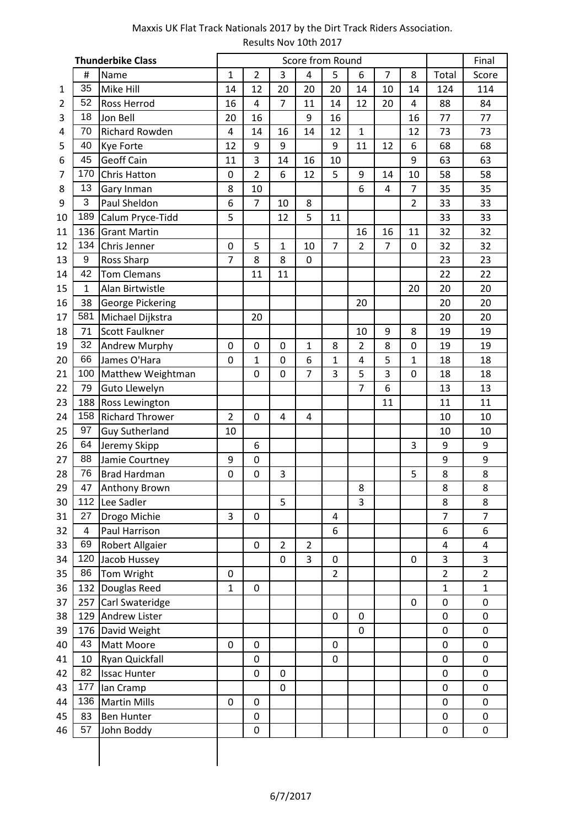|    |              | <b>Thunderbike Class</b> |                |                |                |                | Score from Round |                |                |                |                         | Final                   |
|----|--------------|--------------------------|----------------|----------------|----------------|----------------|------------------|----------------|----------------|----------------|-------------------------|-------------------------|
|    | #            | Name                     | 1              | $\overline{2}$ | 3              | 4              | 5                | 6              | 7              | 8              | Total                   | Score                   |
| 1  | 35           | Mike Hill                | 14             | 12             | 20             | 20             | 20               | 14             | 10             | 14             | 124                     | 114                     |
| 2  | 52           | Ross Herrod              | 16             | 4              | $\overline{7}$ | 11             | 14               | 12             | 20             | 4              | 88                      | 84                      |
| 3  | 18           | Jon Bell                 | 20             | 16             |                | 9              | 16               |                |                | 16             | 77                      | 77                      |
| 4  | 70           | Richard Rowden           | 4              | 14             | 16             | 14             | 12               | $\mathbf{1}$   |                | 12             | 73                      | 73                      |
| 5  | 40           | Kye Forte                | 12             | 9              | 9              |                | 9                | 11             | 12             | 6              | 68                      | 68                      |
| 6  | 45           | <b>Geoff Cain</b>        | 11             | $\overline{3}$ | 14             | 16             | 10               |                |                | 9              | 63                      | 63                      |
| 7  | 170          | Chris Hatton             | 0              | $\overline{2}$ | 6              | 12             | 5                | 9              | 14             | 10             | 58                      | 58                      |
| 8  | 13           | Gary Inman               | 8              | 10             |                |                |                  | 6              | 4              | $\overline{7}$ | 35                      | 35                      |
| 9  | 3            | Paul Sheldon             | 6              | $\overline{7}$ | 10             | 8              |                  |                |                | $\overline{2}$ | 33                      | 33                      |
| 10 | 189          | Calum Pryce-Tidd         | 5              |                | 12             | 5              | 11               |                |                |                | 33                      | 33                      |
| 11 | 136          | <b>Grant Martin</b>      |                |                |                |                |                  | 16             | 16             | 11             | 32                      | 32                      |
| 12 | 134          | Chris Jenner             | 0              | 5              | $\mathbf{1}$   | 10             | 7                | $\overline{2}$ | $\overline{7}$ | 0              | 32                      | 32                      |
| 13 | 9            | Ross Sharp               | $\overline{7}$ | 8              | 8              | 0              |                  |                |                |                | 23                      | 23                      |
| 14 | 42           | <b>Tom Clemans</b>       |                | 11             | 11             |                |                  |                |                |                | 22                      | 22                      |
| 15 | $\mathbf{1}$ | Alan Birtwistle          |                |                |                |                |                  |                |                | 20             | 20                      | 20                      |
| 16 | 38           | George Pickering         |                |                |                |                |                  | 20             |                |                | 20                      | 20                      |
| 17 | 581          | Michael Dijkstra         |                | 20             |                |                |                  |                |                |                | 20                      | 20                      |
| 18 | 71           | <b>Scott Faulkner</b>    |                |                |                |                |                  | 10             | 9              | 8              | 19                      | 19                      |
| 19 | 32           | Andrew Murphy            | 0              | 0              | 0              | 1              | 8                | $\overline{2}$ | 8              | 0              | 19                      | 19                      |
| 20 | 66           | James O'Hara             | 0              | 1              | 0              | 6              | $\mathbf{1}$     | 4              | 5              | 1              | 18                      | 18                      |
| 21 | 100          | Matthew Weightman        |                | 0              | 0              | $\overline{7}$ | 3                | 5              | 3              | $\overline{0}$ | 18                      | 18                      |
| 22 | 79           | Guto Llewelyn            |                |                |                |                |                  | $\overline{7}$ | 6              |                | 13                      | 13                      |
| 23 | 188          | Ross Lewington           |                |                |                |                |                  |                | 11             |                | 11                      | 11                      |
| 24 | 158          | <b>Richard Thrower</b>   | 2              | 0              | 4              | 4              |                  |                |                |                | 10                      | 10                      |
| 25 | 97           | <b>Guy Sutherland</b>    | 10             |                |                |                |                  |                |                |                | 10                      | 10                      |
| 26 | 64           | Jeremy Skipp             |                | 6              |                |                |                  |                |                | 3              | 9                       | 9                       |
| 27 | 88           | Jamie Courtney           | 9              | 0              |                |                |                  |                |                |                | 9                       | 9                       |
| 28 | 76           | <b>Brad Hardman</b>      | 0              | 0              | 3              |                |                  |                |                | 5              | 8                       | 8                       |
| 29 | 47           | Anthony Brown            |                |                |                |                |                  | 8              |                |                | 8                       | 8                       |
| 30 |              | 112 Lee Sadler           |                |                | 5              |                |                  | 3              |                |                | 8                       | 8                       |
| 31 | 27           | Drogo Michie             | 3              | 0              |                |                | 4                |                |                |                | 7                       | $\overline{7}$          |
| 32 | 4            | Paul Harrison            |                |                |                |                | 6                |                |                |                | 6                       | 6                       |
| 33 | 69           | Robert Allgaier          |                | 0              | $\overline{2}$ | $\overline{2}$ |                  |                |                |                | $\overline{\mathbf{4}}$ | $\overline{\mathbf{4}}$ |
| 34 |              | 120 Jacob Hussey         |                |                | 0              | 3              | 0                |                |                | 0              | 3                       | 3                       |
| 35 | 86           | Tom Wright               | 0              |                |                |                | $\overline{2}$   |                |                |                | $\overline{2}$          | $\overline{2}$          |
| 36 | 132          | Douglas Reed             | $\mathbf{1}$   | 0              |                |                |                  |                |                |                | $\mathbf{1}$            | $\mathbf{1}$            |
| 37 | 257          | Carl Swateridge          |                |                |                |                |                  |                |                | 0              | 0                       | 0                       |
| 38 |              | 129 Andrew Lister        |                |                |                |                | 0                | 0              |                |                | 0                       | 0                       |
| 39 |              | 176 David Weight         |                |                |                |                |                  | 0              |                |                | $\pmb{0}$               | 0                       |
| 40 | 43           | Matt Moore               | 0              | 0              |                |                | 0                |                |                |                | 0                       | 0                       |
| 41 | 10           | Ryan Quickfall           |                | 0              |                |                | 0                |                |                |                | $\pmb{0}$               | 0                       |
| 42 | 82           | <b>Issac Hunter</b>      |                | 0              | 0              |                |                  |                |                |                | 0                       | 0                       |
| 43 | 177          | lan Cramp                |                |                | $\mathbf 0$    |                |                  |                |                |                | 0                       | 0                       |
| 44 |              | 136 Martin Mills         | $\mathbf 0$    | $\mathbf 0$    |                |                |                  |                |                |                | 0                       | 0                       |
| 45 | 83           | <b>Ben Hunter</b>        |                | 0              |                |                |                  |                |                |                | 0                       | 0                       |
| 46 | 57           | John Boddy               |                | 0              |                |                |                  |                |                |                | 0                       | 0                       |
|    |              |                          |                |                |                |                |                  |                |                |                |                         |                         |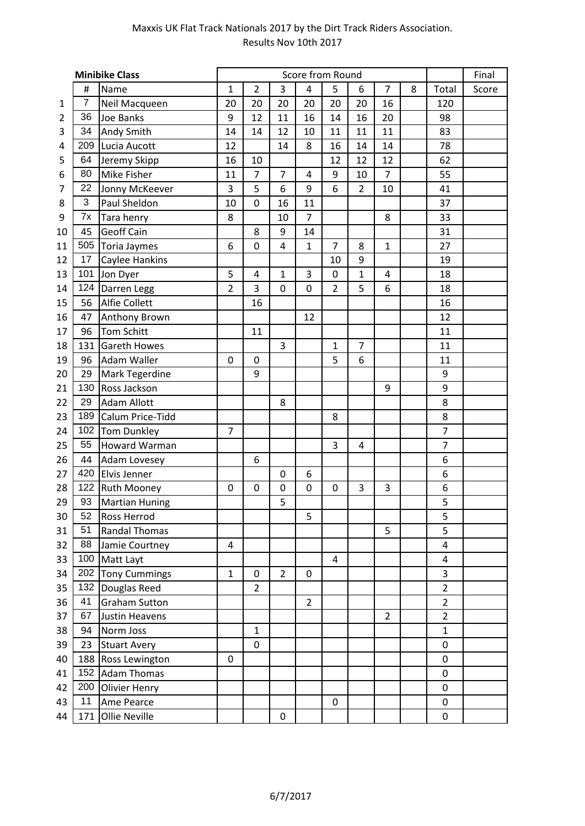|                |                | <b>Minibike Class</b> |                |                |                | Score from Round |                |                |                |   |                         | Final |
|----------------|----------------|-----------------------|----------------|----------------|----------------|------------------|----------------|----------------|----------------|---|-------------------------|-------|
|                | #              | Name                  | $\mathbf{1}$   | $\overline{2}$ | 3              | 4                | 5              | 6              | $\overline{7}$ | 8 | Total                   | Score |
| 1              | $\overline{7}$ | Neil Macqueen         | 20             | 20             | 20             | 20               | 20             | 20             | 16             |   | 120                     |       |
| $\overline{2}$ | 36             | Joe Banks             | 9              | 12             | 11             | 16               | 14             | 16             | 20             |   | 98                      |       |
| 3              | 34             | Andy Smith            | 14             | 14             | 12             | 10               | 11             | 11             | 11             |   | 83                      |       |
| 4              | 209            | Lucia Aucott          | 12             |                | 14             | 8                | 16             | 14             | 14             |   | 78                      |       |
| 5              | 64             | Jeremy Skipp          | 16             | 10             |                |                  | 12             | 12             | 12             |   | 62                      |       |
| 6              | 80             | Mike Fisher           | 11             | $\overline{7}$ | $\overline{7}$ | 4                | 9              | 10             | $\overline{7}$ |   | 55                      |       |
| 7              | 22             | Jonny McKeever        | 3              | 5              | 6              | 9                | 6              | $\overline{2}$ | 10             |   | 41                      |       |
| 8              | 3              | Paul Sheldon          | 10             | $\mathbf 0$    | 16             | 11               |                |                |                |   | 37                      |       |
| 9              | 7x             | Tara henry            | 8              |                | 10             | $\overline{7}$   |                |                | 8              |   | 33                      |       |
| 10             | 45             | <b>Geoff Cain</b>     |                | 8              | 9              | 14               |                |                |                |   | 31                      |       |
| 11             |                | 505 Toria Jaymes      | 6              | 0              | 4              | $\mathbf{1}$     | $\overline{7}$ | 8              | $\mathbf{1}$   |   | 27                      |       |
| 12             | 17             | Caylee Hankins        |                |                |                |                  | 10             | 9              |                |   | 19                      |       |
| 13             |                | 101 Jon Dyer          | 5              | 4              | 1              | 3                | 0              | $\mathbf{1}$   | $\overline{4}$ |   | 18                      |       |
| 14             | 124            | Darren Legg           | $\overline{2}$ | 3              | $\mathbf 0$    | 0                | $\overline{2}$ | 5              | 6              |   | 18                      |       |
| 15             | 56             | Alfie Collett         |                | 16             |                |                  |                |                |                |   | 16                      |       |
| 16             | 47             | Anthony Brown         |                |                |                | 12               |                |                |                |   | 12                      |       |
| 17             | 96             | <b>Tom Schitt</b>     |                | 11             |                |                  |                |                |                |   | 11                      |       |
| 18             | 131            | Gareth Howes          |                |                | 3              |                  | $\mathbf{1}$   | $\overline{7}$ |                |   | 11                      |       |
| 19             | 96             | <b>Adam Waller</b>    | 0              | 0              |                |                  | 5              | 6              |                |   | 11                      |       |
| 20             | 29             | Mark Tegerdine        |                | 9              |                |                  |                |                |                |   | 9                       |       |
| 21             | 130            | Ross Jackson          |                |                |                |                  |                |                | 9              |   | 9                       |       |
| 22             | 29             | Adam Allott           |                |                | 8              |                  |                |                |                |   | 8                       |       |
| 23             | 189            | Calum Price-Tidd      |                |                |                |                  | 8              |                |                |   | 8                       |       |
| 24             | 102            | <b>Tom Dunkley</b>    | 7              |                |                |                  |                |                |                |   | $\overline{7}$          |       |
| 25             | 55             | <b>Howard Warman</b>  |                |                |                |                  | 3              | $\overline{4}$ |                |   | $\overline{7}$          |       |
| 26             | 44             | <b>Adam Lovesey</b>   |                | 6              |                |                  |                |                |                |   | 6                       |       |
| 27             | 420            | Elvis Jenner          |                |                | $\mathbf 0$    | 6                |                |                |                |   | 6                       |       |
| 28             | 122            | <b>Ruth Mooney</b>    | 0              | 0              | $\mathbf 0$    | 0                | 0              | 3              | 3              |   | 6                       |       |
| 29             | 93             | Martian Huning        |                |                | 5              |                  |                |                |                |   | 5                       |       |
| 30             | 52             | Ross Herrod           |                |                |                | 5                |                |                |                |   | 5                       |       |
| 31             | 51             | <b>Randal Thomas</b>  |                |                |                |                  |                |                | 5              |   | 5                       |       |
| 32             | 88             | Jamie Courtney        | 4              |                |                |                  |                |                |                |   | $\overline{\mathbf{4}}$ |       |
| 33             |                | 100 Matt Layt         |                |                |                |                  | 4              |                |                |   | $\overline{4}$          |       |
| 34             |                | 202 Tony Cummings     | $\mathbf{1}$   | 0              | $\overline{2}$ | 0                |                |                |                |   | 3                       |       |
| 35             | 132            | Douglas Reed          |                | $\overline{2}$ |                |                  |                |                |                |   | $\overline{2}$          |       |
| 36             | 41             | <b>Graham Sutton</b>  |                |                |                | $\overline{2}$   |                |                |                |   | $\overline{2}$          |       |
| 37             | 67             | Justin Heavens        |                |                |                |                  |                |                | $\overline{2}$ |   | $\overline{2}$          |       |
| 38             | 94             | Norm Joss             |                | $\mathbf{1}$   |                |                  |                |                |                |   | $\mathbf{1}$            |       |
| 39             | 23             | <b>Stuart Avery</b>   |                | 0              |                |                  |                |                |                |   | $\pmb{0}$               |       |
| 40             |                | 188 Ross Lewington    | 0              |                |                |                  |                |                |                |   | 0                       |       |
| 41             | 152            | <b>Adam Thomas</b>    |                |                |                |                  |                |                |                |   | 0                       |       |
| 42             |                | 200 Olivier Henry     |                |                |                |                  |                |                |                |   | 0                       |       |
| 43             | 11             | Ame Pearce            |                |                |                |                  | 0              |                |                |   | 0                       |       |
| 44             |                | 171 Ollie Neville     |                |                | $\mathbf 0$    |                  |                |                |                |   | $\mathbf 0$             |       |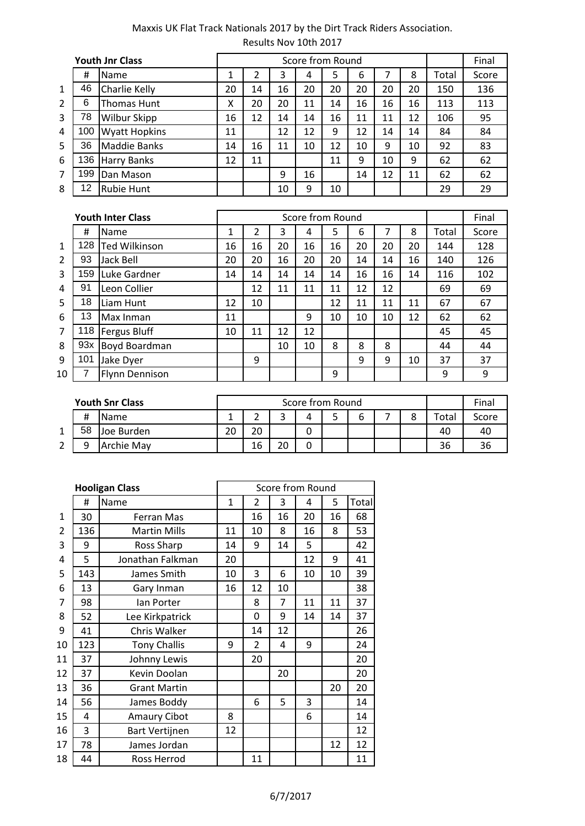|                |     | <b>Youth Jnr Class</b> |    |    |    |    | Score from Round |    |    |    |       | Final |
|----------------|-----|------------------------|----|----|----|----|------------------|----|----|----|-------|-------|
|                | #   | Name                   | 1  | า  | 3  | 4  | 5                | 6  |    | 8  | Total | Score |
| 1              | 46  | Charlie Kelly          | 20 | 14 | 16 | 20 | 20               | 20 | 20 | 20 | 150   | 136   |
| $\overline{2}$ | 6   | Thomas Hunt            | Χ  | 20 | 20 | 11 | 14               | 16 | 16 | 16 | 113   | 113   |
| 3              | 78  | <b>Wilbur Skipp</b>    | 16 | 12 | 14 | 14 | 16               | 11 | 11 | 12 | 106   | 95    |
| 4              | 100 | <b>Wyatt Hopkins</b>   | 11 |    | 12 | 12 | 9                | 12 | 14 | 14 | 84    | 84    |
| 5              | 36  | <b>Maddie Banks</b>    | 14 | 16 | 11 | 10 | 12               | 10 | 9  | 10 | 92    | 83    |
| 6              | 136 | Harry Banks            | 12 | 11 |    |    | 11               | 9  | 10 | 9  | 62    | 62    |
| 7              | 199 | Dan Mason              |    |    | 9  | 16 |                  | 14 | 12 | 11 | 62    | 62    |
| 8              | 12  | <b>Rubie Hunt</b>      |    |    | 10 | 9  | 10               |    |    |    | 29    | 29    |

|    |     | <b>Youth Inter Class</b> |    |    |    | Score from Round |    |    |    |    |       | Final |
|----|-----|--------------------------|----|----|----|------------------|----|----|----|----|-------|-------|
|    | #   | Name                     | 1  | 2  | 3  | 4                | 5  | 6  |    | 8  | Total | Score |
| 1  | 128 | <b>Ted Wilkinson</b>     | 16 | 16 | 20 | 16               | 16 | 20 | 20 | 20 | 144   | 128   |
| 2  | 93  | Jack Bell                | 20 | 20 | 16 | 20               | 20 | 14 | 14 | 16 | 140   | 126   |
| 3  | 159 | Luke Gardner             | 14 | 14 | 14 | 14               | 14 | 16 | 16 | 14 | 116   | 102   |
| 4  | 91  | Leon Collier             |    | 12 | 11 | 11               | 11 | 12 | 12 |    | 69    | 69    |
| 5  | 18  | Liam Hunt                | 12 | 10 |    |                  | 12 | 11 | 11 | 11 | 67    | 67    |
| 6  | 13  | Max Inman                | 11 |    |    | 9                | 10 | 10 | 10 | 12 | 62    | 62    |
| 7  | 118 | <b>Fergus Bluff</b>      | 10 | 11 | 12 | 12               |    |    |    |    | 45    | 45    |
| 8  | 93x | Boyd Boardman            |    |    | 10 | 10               | 8  | 8  | 8  |    | 44    | 44    |
| 9  | 101 | Jake Dyer                |    | 9  |    |                  |    | 9  | 9  | 10 | 37    | 37    |
| 10 |     | <b>Flynn Dennison</b>    |    |    |    |                  | 9  |    |    |    | 9     | 9     |

|   |    | <b>Youth Snr Class</b> |    |         |   | Score from Round |   |  |       | Final |
|---|----|------------------------|----|---------|---|------------------|---|--|-------|-------|
|   | #  | <b>I</b> Name          |    |         | 4 |                  | ь |  | Total | Score |
|   | 58 | Joe Burden             | 20 | ົ<br>۷J |   |                  |   |  | 40    | -46   |
| ◠ |    | <b>Archie May</b>      |    | 16      |   |                  |   |  | 36    |       |

|                | <b>Hooligan Class</b> |                       |              | Score from Round |    |    |    |       |  |  |
|----------------|-----------------------|-----------------------|--------------|------------------|----|----|----|-------|--|--|
|                | #                     | Name                  | $\mathbf{1}$ | $\overline{2}$   | 3  | 4  | 5  | Total |  |  |
| $\mathbf{1}$   | 30                    | <b>Ferran Mas</b>     |              | 16               | 16 | 20 | 16 | 68    |  |  |
| $\overline{2}$ | 136                   | <b>Martin Mills</b>   | 11           | 10               | 8  | 16 | 8  | 53    |  |  |
| 3              | 9                     | Ross Sharp            | 14           | 9                | 14 | 5  |    | 42    |  |  |
| 4              | 5                     | Jonathan Falkman      | 20           |                  |    | 12 | 9  | 41    |  |  |
| 5              | 143                   | James Smith           | 10           | 3                | 6  | 10 | 10 | 39    |  |  |
| 6              | 13                    | Gary Inman            | 16           | 12               | 10 |    |    | 38    |  |  |
| $\overline{7}$ | 98                    | lan Porter            |              | 8                | 7  | 11 | 11 | 37    |  |  |
| 8              | 52                    | Lee Kirkpatrick       |              | 0                | 9  | 14 | 14 | 37    |  |  |
| 9              | 41                    | Chris Walker          |              | 14               | 12 |    |    | 26    |  |  |
| 10             | 123                   | <b>Tony Challis</b>   | 9            | $\overline{2}$   | 4  | 9  |    | 24    |  |  |
| 11             | 37                    | Johnny Lewis          |              | 20               |    |    |    | 20    |  |  |
| 12             | 37                    | Kevin Doolan          |              |                  | 20 |    |    | 20    |  |  |
| 13             | 36                    | <b>Grant Martin</b>   |              |                  |    |    | 20 | 20    |  |  |
| 14             | 56                    | James Boddy           |              | 6                | 5  | 3  |    | 14    |  |  |
| 15             | 4                     | <b>Amaury Cibot</b>   | 8            |                  |    | 6  |    | 14    |  |  |
| 16             | 3                     | <b>Bart Vertijnen</b> | 12           |                  |    |    |    | 12    |  |  |
| 17             | 78                    | James Jordan          |              |                  |    |    | 12 | 12    |  |  |
| 18             | 44                    | Ross Herrod           |              | 11               |    |    |    | 11    |  |  |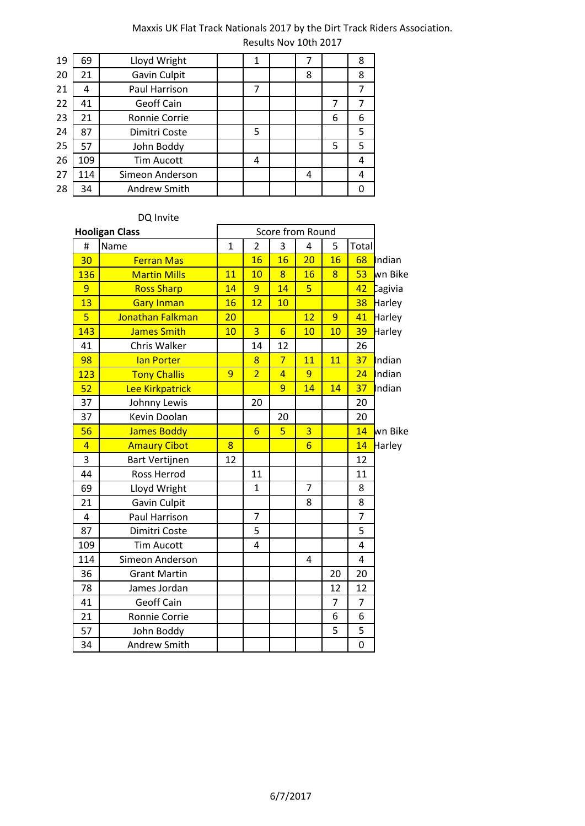| 19 | 69  | Lloyd Wright      | 1 |   |   | 8 |
|----|-----|-------------------|---|---|---|---|
| 20 | 21  | Gavin Culpit      |   | 8 |   | 8 |
| 21 | 4   | Paul Harrison     | 7 |   |   |   |
| 22 | 41  | Geoff Cain        |   |   | 7 |   |
| 23 | 21  | Ronnie Corrie     |   |   | 6 | 6 |
| 24 | 87  | Dimitri Coste     | 5 |   |   | 5 |
| 25 | 57  | John Boddy        |   |   | 5 | 5 |
| 26 | 109 | <b>Tim Aucott</b> | 4 |   |   | 4 |
| 27 | 114 | Simeon Anderson   |   | 4 |   | 4 |
| 28 | 34  | Andrew Smith      |   |   |   |   |
|    |     |                   |   |   |   |   |

### DQ Invite

| <b>Hooligan Class</b> |                       |                | Score from Round |                 |                |                |                |         |  |
|-----------------------|-----------------------|----------------|------------------|-----------------|----------------|----------------|----------------|---------|--|
| #                     | Name                  | $\mathbf{1}$   | $\overline{2}$   | 3               | 4              | 5              | Total          |         |  |
| 30                    | <b>Ferran Mas</b>     |                | 16               | 16              | 20             | 16             | 68             | Indian  |  |
| 136                   | <b>Martin Mills</b>   | 11             | 10               | $\overline{8}$  | 16             | 8              | 53             | wn Bike |  |
| 9                     | <b>Ross Sharp</b>     | 14             | 9                | 14              | $\overline{5}$ |                | 42             | Cagivia |  |
| 13                    | <b>Gary Inman</b>     | 16             | 12               | 10              |                |                | 38             | Harley  |  |
| $\overline{5}$        | Jonathan Falkman      | 20             |                  |                 | 12             | 9              | 41             | Harley  |  |
| 143                   | James Smith           | 10             | $\overline{3}$   | $6\overline{6}$ | 10             | 10             | 39             | Harley  |  |
| 41                    | Chris Walker          |                | 14               | 12              |                |                | 26             |         |  |
| 98                    | lan Porter            |                | 8                | $\overline{7}$  | 11             | 11             | 37             | Indian  |  |
| 123                   | <b>Tony Challis</b>   | $\overline{9}$ | $\overline{2}$   | $\overline{4}$  | 9              |                | 24             | Indian  |  |
| 52                    | Lee Kirkpatrick       |                |                  | 9               | 14             | 14             | 37             | Indian  |  |
| 37                    | Johnny Lewis          |                | 20               |                 |                |                | 20             |         |  |
| 37                    | Kevin Doolan          |                |                  | 20              |                |                | 20             |         |  |
| 56                    | <b>James Boddy</b>    |                | $6\overline{6}$  | 5               | $\overline{3}$ |                | 14             | wn Bike |  |
| $\overline{4}$        | <b>Amaury Cibot</b>   | $\overline{8}$ |                  |                 | $6\overline{}$ |                | 14             | Harley  |  |
| 3                     | <b>Bart Vertijnen</b> | 12             |                  |                 |                |                | 12             |         |  |
| 44                    | Ross Herrod           |                | 11               |                 |                |                | 11             |         |  |
| 69                    | Lloyd Wright          |                | $\mathbf{1}$     |                 | $\overline{7}$ |                | 8              |         |  |
| 21                    | Gavin Culpit          |                |                  |                 | 8              |                | 8              |         |  |
| 4                     | Paul Harrison         |                | $\overline{7}$   |                 |                |                | $\overline{7}$ |         |  |
| 87                    | Dimitri Coste         |                | 5                |                 |                |                | 5              |         |  |
| 109                   | <b>Tim Aucott</b>     |                | 4                |                 |                |                | 4              |         |  |
| 114                   | Simeon Anderson       |                |                  |                 | 4              |                | 4              |         |  |
| 36                    | <b>Grant Martin</b>   |                |                  |                 |                | 20             | 20             |         |  |
| 78                    | James Jordan          |                |                  |                 |                | 12             | 12             |         |  |
| 41                    | <b>Geoff Cain</b>     |                |                  |                 |                | $\overline{7}$ | $\overline{7}$ |         |  |
| 21                    | Ronnie Corrie         |                |                  |                 |                | 6              | 6              |         |  |
| 57                    | John Boddy            |                |                  |                 |                | 5              | 5              |         |  |
| 34                    | <b>Andrew Smith</b>   |                |                  |                 |                |                | 0              |         |  |